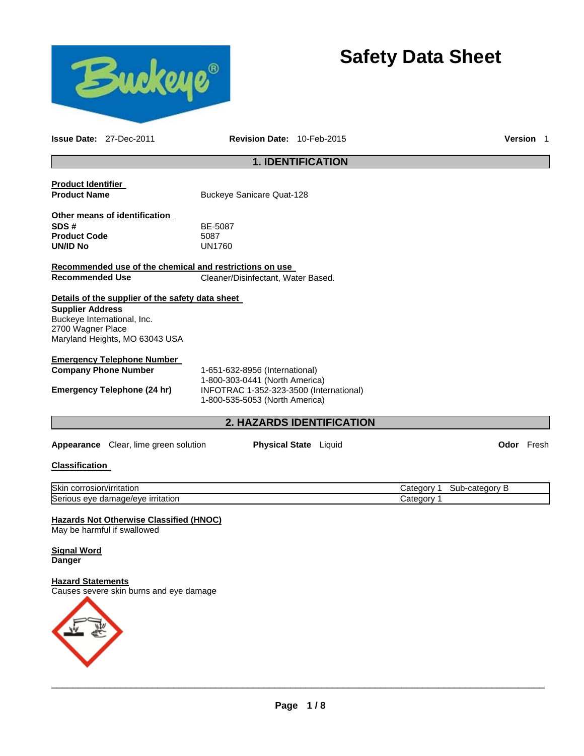

# **Safety Data Sheet**

**Issue Date:** 27-Dec-2011 **Revision Date:** 10-Feb-2015 **Version** 1

# **1. IDENTIFICATION**

| <b>Product Identifier</b><br><b>Product Name</b>                                                                                                                  | <b>Buckeye Sanicare Quat-128</b>                                                                            |  |            |
|-------------------------------------------------------------------------------------------------------------------------------------------------------------------|-------------------------------------------------------------------------------------------------------------|--|------------|
| Other means of identification<br>SDS #<br><b>Product Code</b><br>UN/ID No                                                                                         | BE-5087<br>5087<br><b>UN1760</b>                                                                            |  |            |
| <u>Recommended use of the chemical and restrictions on use </u>                                                                                                   |                                                                                                             |  |            |
| <b>Recommended Use</b>                                                                                                                                            | Cleaner/Disinfectant, Water Based.                                                                          |  |            |
| Details of the supplier of the safety data sheet<br><b>Supplier Address</b><br>Buckeye International, Inc.<br>2700 Wagner Place<br>Maryland Heights, MO 63043 USA |                                                                                                             |  |            |
| <b>Emergency Telephone Number</b>                                                                                                                                 |                                                                                                             |  |            |
| <b>Company Phone Number</b>                                                                                                                                       | 1-651-632-8956 (International)                                                                              |  |            |
| Emergency Telephone (24 hr)                                                                                                                                       | 1-800-303-0441 (North America)<br>INFOTRAC 1-352-323-3500 (International)<br>1-800-535-5053 (North America) |  |            |
|                                                                                                                                                                   | <b>2. HAZARDS IDENTIFICATION</b>                                                                            |  |            |
| <b>Appearance</b> Clear, lime green solution                                                                                                                      | <b>Physical State</b> Liquid                                                                                |  | Odor Fresh |

# **Classification**

| <b>Skir</b><br>/irritation<br>corrosio                         | ໋<br>≏atedory<br>Jater<br>…uorv ∶<br>⊸uu |
|----------------------------------------------------------------|------------------------------------------|
| Seri<br>. irritation<br>hade/eve<br>، ۱۵<br>. eve<br>uar<br>uə | ໋<br>.                                   |

#### **Hazards Not Otherwise Classified (HNOC)**

May be harmful if swallowed

# **Signal Word Danger**

#### **Hazard Statements**

Causes severe skin burns and eye damage

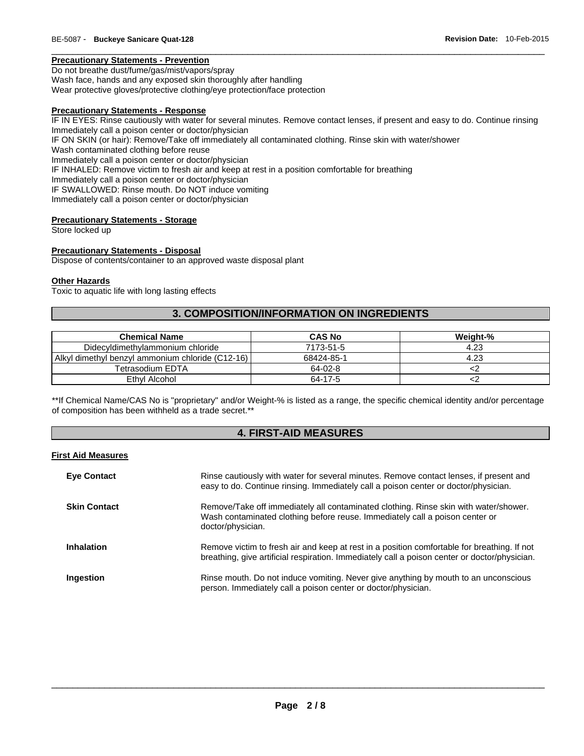# **Precautionary Statements - Prevention**

Do not breathe dust/fume/gas/mist/vapors/spray Wash face, hands and any exposed skin thoroughly after handling Wear protective gloves/protective clothing/eye protection/face protection

#### **Precautionary Statements - Response**

IF IN EYES: Rinse cautiously with water for several minutes. Remove contact lenses, if present and easy to do. Continue rinsing Immediately call a poison center or doctor/physician IF ON SKIN (or hair): Remove/Take off immediately all contaminated clothing. Rinse skin with water/shower Wash contaminated clothing before reuse Immediately call a poison center or doctor/physician IF INHALED: Remove victim to fresh air and keep at rest in a position comfortable for breathing Immediately call a poison center or doctor/physician IF SWALLOWED: Rinse mouth. Do NOT induce vomiting Immediately call a poison center or doctor/physician

 $\Box$ 

# **Precautionary Statements - Storage**

Store locked up

#### **Precautionary Statements - Disposal**

Dispose of contents/container to an approved waste disposal plant

#### **Other Hazards**

Toxic to aquatic life with long lasting effects

# **3. COMPOSITION/INFORMATION ON INGREDIENTS**

| <b>Chemical Name</b>                             | <b>CAS No</b> | Weight-% |
|--------------------------------------------------|---------------|----------|
| Didecyldimethylammonium chloride                 | 7173-51-5     | 4.23     |
| Alkyl dimethyl benzyl ammonium chloride (C12-16) | 68424-85-1    | 4.23     |
| Tetrasodium EDTA                                 | 64-02-8       |          |
| Ethyl Alcohol                                    | 64-17-5       |          |

\*\*If Chemical Name/CAS No is "proprietary" and/or Weight-% is listed as a range, the specific chemical identity and/or percentage of composition has been withheld as a trade secret.\*\*

# **4. FIRST-AID MEASURES**

### **First Aid Measures**

| <b>Eye Contact</b>  | Rinse cautiously with water for several minutes. Remove contact lenses, if present and<br>easy to do. Continue rinsing. Immediately call a poison center or doctor/physician.                |
|---------------------|----------------------------------------------------------------------------------------------------------------------------------------------------------------------------------------------|
| <b>Skin Contact</b> | Remove/Take off immediately all contaminated clothing. Rinse skin with water/shower.<br>Wash contaminated clothing before reuse. Immediately call a poison center or<br>doctor/physician.    |
| <b>Inhalation</b>   | Remove victim to fresh air and keep at rest in a position comfortable for breathing. If not<br>breathing, give artificial respiration. Immediately call a poison center or doctor/physician. |
| Ingestion           | Rinse mouth. Do not induce vomiting. Never give anything by mouth to an unconscious<br>person. Immediately call a poison center or doctor/physician.                                         |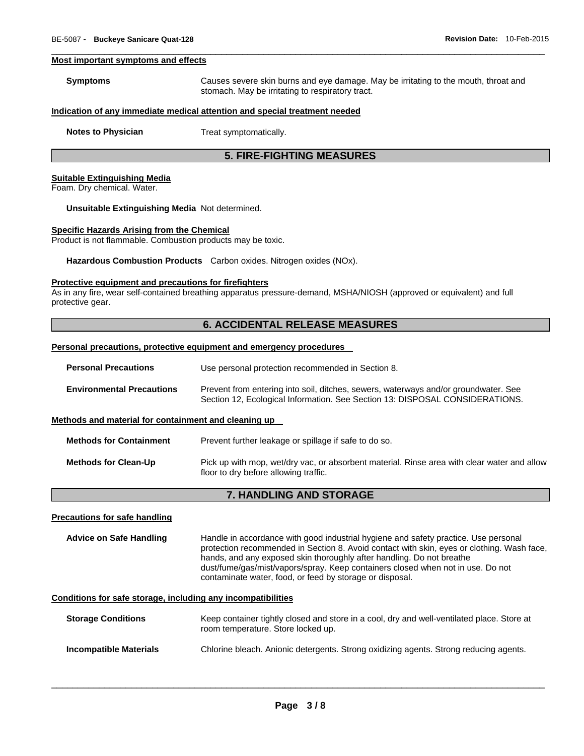#### **Most important symptoms and effects**

| <b>Symptoms</b> | Causes severe skin burns and eye damage. May be irritating to the mouth, throat and |
|-----------------|-------------------------------------------------------------------------------------|
|                 | stomach. May be irritating to respiratory tract.                                    |

 $\Box$ 

#### **Indication of any immediate medical attention and special treatment needed**

**Notes to Physician**  Treat symptomatically.

# **5. FIRE-FIGHTING MEASURES**

#### **Suitable Extinguishing Media**

Foam. Dry chemical. Water.

#### **Unsuitable Extinguishing Media** Not determined.

#### **Specific Hazards Arising from the Chemical**

Product is not flammable. Combustion products may be toxic.

**Hazardous Combustion Products** Carbon oxides. Nitrogen oxides (NOx).

#### **Protective equipment and precautions for firefighters**

As in any fire, wear self-contained breathing apparatus pressure-demand, MSHA/NIOSH (approved or equivalent) and full protective gear.

# **6. ACCIDENTAL RELEASE MEASURES**

#### **Personal precautions, protective equipment and emergency procedures**

| <b>Personal Precautions</b>                          | Use personal protection recommended in Section 8.                                                                                                                   |  |
|------------------------------------------------------|---------------------------------------------------------------------------------------------------------------------------------------------------------------------|--|
| <b>Environmental Precautions</b>                     | Prevent from entering into soil, ditches, sewers, waterways and/or groundwater. See<br>Section 12, Ecological Information. See Section 13: DISPOSAL CONSIDERATIONS. |  |
| Methods and material for containment and cleaning up |                                                                                                                                                                     |  |
| <b>Methods for Containment</b>                       | Prevent further leakage or spillage if safe to do so.                                                                                                               |  |
| <b>Methods for Clean-Up</b>                          | Pick up with mop, wet/dry vac, or absorbent material. Rinse area with clear water and allow<br>floor to dry before allowing traffic.                                |  |

### **7. HANDLING AND STORAGE**

#### **Precautions for safe handling**

**Advice on Safe Handling** Handle in accordance with good industrial hygiene and safety practice. Use personal protection recommended in Section 8. Avoid contact with skin, eyes or clothing. Wash face, hands, and any exposed skin thoroughly after handling. Do not breathe dust/fume/gas/mist/vapors/spray. Keep containers closed when not in use. Do not contaminate water, food, or feed by storage or disposal.

### **Conditions for safe storage, including any incompatibilities**

| <b>Storage Conditions</b> | Keep container tightly closed and store in a cool, dry and well-ventilated place. Store at<br>room temperature. Store locked up. |
|---------------------------|----------------------------------------------------------------------------------------------------------------------------------|
| Incompatible Materials    | Chlorine bleach. Anionic detergents. Strong oxidizing agents. Strong reducing agents.                                            |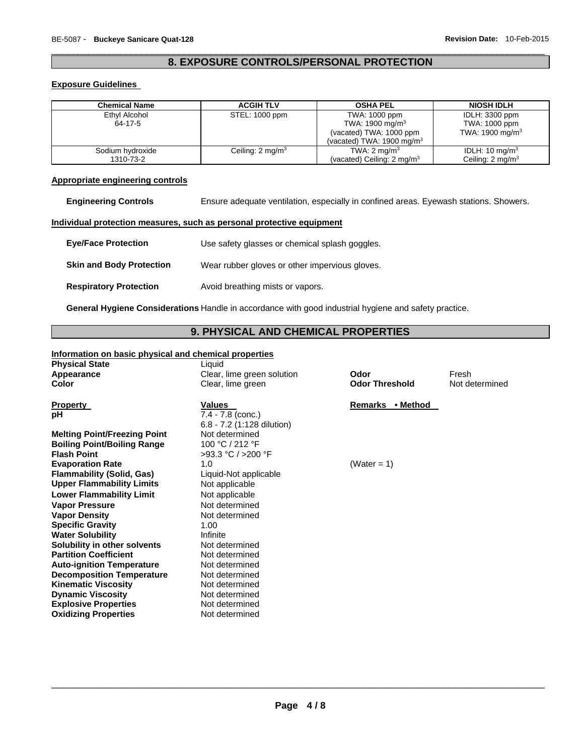# $\Box$ **8. EXPOSURE CONTROLS/PERSONAL PROTECTION**

# **Exposure Guidelines**

| <b>Chemical Name</b>          | <b>ACGIH TLV</b>            | <b>OSHA PEL</b>                                                                                                 | <b>NIOSH IDLH</b>                                              |
|-------------------------------|-----------------------------|-----------------------------------------------------------------------------------------------------------------|----------------------------------------------------------------|
| Ethyl Alcohol<br>64-17-5      | STEL: 1000 ppm              | TWA: 1000 ppm<br>TWA: 1900 mg/m <sup>3</sup><br>(vacated) TWA: 1000 ppm<br>(vacated) TWA: $1900 \text{ mg/m}^3$ | IDLH: 3300 ppm<br>TWA: 1000 ppm<br>TWA: 1900 mg/m <sup>3</sup> |
| Sodium hydroxide<br>1310-73-2 | Ceiling: $2 \text{ mg/m}^3$ | TWA: $2 \text{ mg/m}^3$<br>(vacated) Ceiling: $2 \text{ mg/m}^3$                                                | IDLH: 10 mg/m <sup>3</sup><br>Ceiling: $2 \text{ mg/m}^3$      |

# **Appropriate engineering controls**

**Engineering Controls** Ensure adequate ventilation, especially in confined areas. Eyewash stations. Showers.

### **Individual protection measures, such as personal protective equipment**

| <b>Eye/Face Protection</b>      | Use safety glasses or chemical splash goggles. |
|---------------------------------|------------------------------------------------|
| <b>Skin and Body Protection</b> | Wear rubber gloves or other impervious gloves. |
| <b>Respiratory Protection</b>   | Avoid breathing mists or vapors.               |

**General Hygiene Considerations** Handle in accordance with good industrial hygiene and safety practice.

# **9. PHYSICAL AND CHEMICAL PROPERTIES**

# **Information on basic physical and chemical properties**

| <b>Physical State</b>               | Liquid                     |                       |                |
|-------------------------------------|----------------------------|-----------------------|----------------|
| Appearance                          | Clear, lime green solution | Odor                  | Fresh          |
| Color                               | Clear, lime green          | <b>Odor Threshold</b> | Not determined |
| <b>Property</b>                     | <b>Values</b>              | Remarks • Method      |                |
| рH                                  | $7.4 - 7.8$ (conc.)        |                       |                |
|                                     | 6.8 - 7.2 (1:128 dilution) |                       |                |
| <b>Melting Point/Freezing Point</b> | Not determined             |                       |                |
| <b>Boiling Point/Boiling Range</b>  | 100 °C / 212 °F            |                       |                |
| <b>Flash Point</b>                  | >93.3 °C / >200 °F         |                       |                |
| <b>Evaporation Rate</b>             | 1.0                        | (Water = $1$ )        |                |
| Flammability (Solid, Gas)           | Liquid-Not applicable      |                       |                |
| <b>Upper Flammability Limits</b>    | Not applicable             |                       |                |
| <b>Lower Flammability Limit</b>     | Not applicable             |                       |                |
| <b>Vapor Pressure</b>               | Not determined             |                       |                |
| <b>Vapor Density</b>                | Not determined             |                       |                |
| <b>Specific Gravity</b>             | 1.00                       |                       |                |
| <b>Water Solubility</b>             | Infinite                   |                       |                |
| Solubility in other solvents        | Not determined             |                       |                |
| <b>Partition Coefficient</b>        | Not determined             |                       |                |
| <b>Auto-ignition Temperature</b>    | Not determined             |                       |                |
| <b>Decomposition Temperature</b>    | Not determined             |                       |                |
| <b>Kinematic Viscosity</b>          | Not determined             |                       |                |
| <b>Dynamic Viscosity</b>            | Not determined             |                       |                |
| <b>Explosive Properties</b>         | Not determined             |                       |                |
| <b>Oxidizing Properties</b>         | Not determined             |                       |                |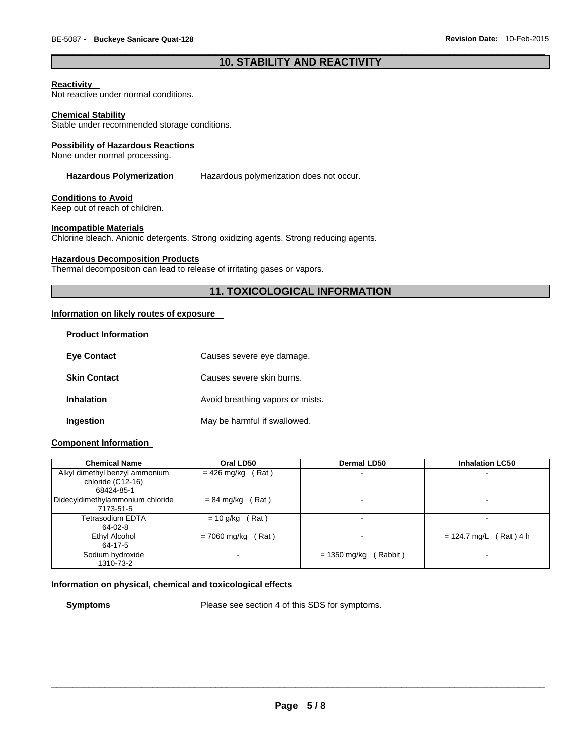# $\Box$ **10. STABILITY AND REACTIVITY**

#### **Reactivity**

Not reactive under normal conditions.

#### **Chemical Stability**

Stable under recommended storage conditions.

#### **Possibility of Hazardous Reactions**

None under normal processing.

**Hazardous Polymerization** Hazardous polymerization does not occur.

# **Conditions to Avoid**

Keep out of reach of children.

#### **Incompatible Materials**

Chlorine bleach. Anionic detergents. Strong oxidizing agents. Strong reducing agents.

#### **Hazardous Decomposition Products**

Thermal decomposition can lead to release of irritating gases or vapors.

# **11. TOXICOLOGICAL INFORMATION**

# **Information on likely routes of exposure**

| <b>Product Information</b> |                                  |
|----------------------------|----------------------------------|
| <b>Eye Contact</b>         | Causes severe eye damage.        |
| <b>Skin Contact</b>        | Causes severe skin burns.        |
| <b>Inhalation</b>          | Avoid breathing vapors or mists. |
| Ingestion                  | May be harmful if swallowed.     |

# **Component Information**

| <b>Chemical Name</b>                                              | Oral LD50              | Dermal LD50                | <b>Inhalation LC50</b>        |
|-------------------------------------------------------------------|------------------------|----------------------------|-------------------------------|
| Alkyl dimethyl benzyl ammonium<br>chloride (C12-16)<br>68424-85-1 | (Rat)<br>$= 426$ mg/kg | -                          |                               |
| Didecyldimethylammonium chloride<br>7173-51-5                     | (Rat)<br>$= 84$ mg/kg  |                            |                               |
| Tetrasodium EDTA<br>64-02-8                                       | $= 10$ g/kg (Rat)      | -                          | -                             |
| Ethyl Alcohol<br>64-17-5                                          | (Rat)<br>= 7060 mg/kg  |                            | $(Rat)$ 4 h<br>$= 124.7$ mg/L |
| Sodium hydroxide<br>1310-73-2                                     |                        | $= 1350$ mg/kg<br>(Rabbit) | $\blacksquare$                |

# **Information on physical, chemical and toxicological effects**

**Symptoms** Please see section 4 of this SDS for symptoms.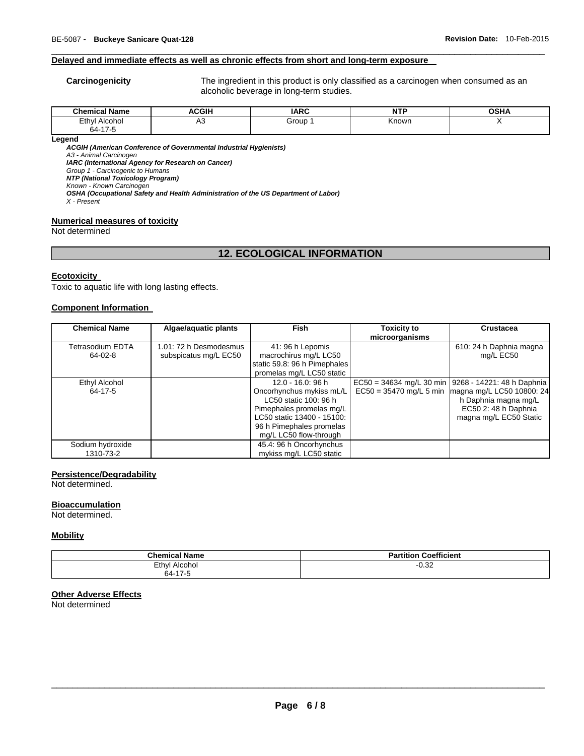### **Delayed and immediate effects as well as chronic effects from short and long-term exposure**

**Carcinogenicity** The ingredient in this product is only classified as a carcinogen when consumed as an alcoholic beverage in long-term studies.

| <b>Chemical Name</b> | <b>ACGIH</b> | <b>IARC</b> | uta<br>NI | <b>OSHA</b> |
|----------------------|--------------|-------------|-----------|-------------|
| Ethyl<br>Alcohol     | πυ           | Group       | Known     |             |
| 64-17-5              |              |             |           |             |

 $\Box$ 

**Legend** 

*ACGIH (American Conference of Governmental Industrial Hygienists) A3 - Animal Carcinogen IARC (International Agency for Research on Cancer) Group 1 - Carcinogenic to Humans* 

*NTP (National Toxicology Program)* 

*Known - Known Carcinogen OSHA (Occupational Safety and Health Administration of the US Department of Labor)* 

*X - Present* 

#### **Numerical measures of toxicity**

Not determined

# **12. ECOLOGICAL INFORMATION**

#### **Ecotoxicity**

Toxic to aquatic life with long lasting effects.

#### **Component Information**

| <b>Chemical Name</b> | Algae/aquatic plants   | <b>Fish</b>                  | <b>Toxicity to</b> | <b>Crustacea</b>                                      |
|----------------------|------------------------|------------------------------|--------------------|-------------------------------------------------------|
|                      |                        |                              | microorganisms     |                                                       |
| Tetrasodium EDTA     | 1.01: 72 h Desmodesmus | 41: 96 h Lepomis             |                    | 610: 24 h Daphnia magna                               |
| 64-02-8              | subspicatus mg/L EC50  | macrochirus mg/L LC50        |                    | mg/L EC50                                             |
|                      |                        | static 59.8: 96 h Pimephales |                    |                                                       |
|                      |                        | promelas mg/L LC50 static    |                    |                                                       |
| Ethyl Alcohol        |                        | 12.0 - 16.0: 96 h            |                    | EC50 = 34634 mg/L 30 min   9268 - 14221: 48 h Daphnia |
| 64-17-5              |                        | Oncorhynchus mykiss mL/L     |                    | $EC50 = 35470$ mg/L 5 min magna mg/L LC50 10800: 24   |
|                      |                        | LC50 static 100: 96 h        |                    | h Daphnia magna mg/L                                  |
|                      |                        | Pimephales promelas mg/L     |                    | EC50 2: 48 h Daphnia                                  |
|                      |                        | LC50 static 13400 - 15100:   |                    | magna mg/L EC50 Static                                |
|                      |                        | 96 h Pimephales promelas     |                    |                                                       |
|                      |                        | mg/L LC50 flow-through       |                    |                                                       |
| Sodium hydroxide     |                        | 45.4: 96 h Oncorhynchus      |                    |                                                       |
| 1310-73-2            |                        | mykiss mg/L LC50 static      |                    |                                                       |

#### **Persistence/Degradability**

Not determined.

# **Bioaccumulation**

Not determined.

#### **Mobility**

| <b>Chemical Name</b>  | Coefficient<br>Partition |
|-----------------------|--------------------------|
| Alcohol<br>Ethyl<br>. | $-0.32$                  |
| 64-17-5               |                          |

# **Other Adverse Effects**

Not determined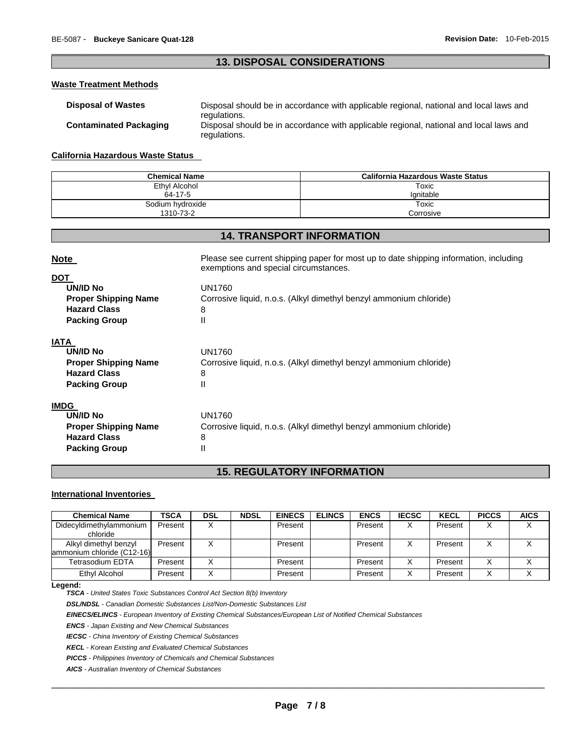# $\Box$ **13. DISPOSAL CONSIDERATIONS**

# **Waste Treatment Methods**

| <b>Disposal of Wastes</b>     | Disposal should be in accordance with applicable regional, national and local laws and<br>regulations. |
|-------------------------------|--------------------------------------------------------------------------------------------------------|
| <b>Contaminated Packaging</b> | Disposal should be in accordance with applicable regional, national and local laws and<br>regulations. |

#### **California Hazardous Waste Status**

| <b>Chemical Name</b> | California Hazardous Waste Status |  |
|----------------------|-----------------------------------|--|
| Ethyl Alcohol        | Toxic                             |  |
| 64-17-5              | lanitable                         |  |
| Sodium hydroxide     | Toxic                             |  |
| 1310-73-2            | Corrosive                         |  |

# **14. TRANSPORT INFORMATION**

| <b>Note</b>                                                                                                 | Please see current shipping paper for most up to date shipping information, including<br>exemptions and special circumstances. |
|-------------------------------------------------------------------------------------------------------------|--------------------------------------------------------------------------------------------------------------------------------|
| <b>DOT</b><br><b>UN/ID No</b><br><b>Proper Shipping Name</b><br><b>Hazard Class</b><br><b>Packing Group</b> | <b>UN1760</b><br>Corrosive liquid, n.o.s. (Alkyl dimethyl benzyl ammonium chloride)<br>8<br>Ш                                  |
| <b>IATA</b><br>UN/ID No<br><b>Proper Shipping Name</b><br><b>Hazard Class</b><br><b>Packing Group</b>       | UN1760<br>Corrosive liquid, n.o.s. (Alkyl dimethyl benzyl ammonium chloride)<br>8<br>Ш                                         |
| <b>IMDG</b><br>UN/ID No<br><b>Proper Shipping Name</b><br><b>Hazard Class</b><br><b>Packing Group</b>       | <b>UN1760</b><br>Corrosive liquid, n.o.s. (Alkyl dimethyl benzyl ammonium chloride)<br>8<br>Ш                                  |

# **15. REGULATORY INFORMATION**

# **International Inventories**

| <b>Chemical Name</b>       | <b>TSCA</b> | <b>DSL</b> | <b>NDSL</b> | <b>EINECS</b> | <b>ELINCS</b> | <b>ENCS</b> | <b>IECSC</b> | <b>KECL</b> | <b>PICCS</b> | <b>AICS</b> |
|----------------------------|-------------|------------|-------------|---------------|---------------|-------------|--------------|-------------|--------------|-------------|
| Didecyldimethylammonium    | Present     |            |             | Present       |               | Present     |              | Present     |              |             |
| chloride                   |             |            |             |               |               |             |              |             |              |             |
| Alkyl dimethyl benzyl      | Present     |            |             | Present       |               | Present     |              | Present     |              |             |
| ammonium chloride (C12-16) |             |            |             |               |               |             |              |             |              |             |
| <b>Tetrasodium EDTA</b>    | Present     |            |             | Present       |               | Present     |              | Present     |              |             |
| Ethyl Alcohol              | Present     |            |             | Present       |               | Present     |              | Present     |              |             |

#### **Legend:**

*TSCA - United States Toxic Substances Control Act Section 8(b) Inventory* 

*DSL/NDSL - Canadian Domestic Substances List/Non-Domestic Substances List* 

*EINECS/ELINCS - European Inventory of Existing Chemical Substances/European List of Notified Chemical Substances* 

*ENCS - Japan Existing and New Chemical Substances* 

*IECSC - China Inventory of Existing Chemical Substances* 

*KECL - Korean Existing and Evaluated Chemical Substances* 

*PICCS - Philippines Inventory of Chemicals and Chemical Substances* 

*AICS - Australian Inventory of Chemical Substances*